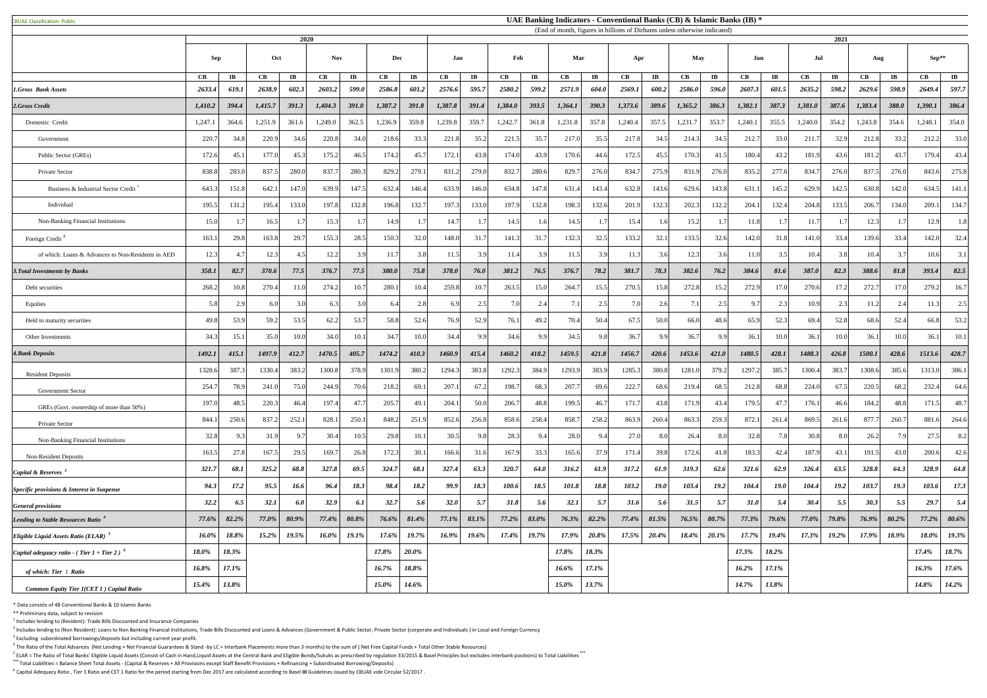<sup>5</sup> ELAR = The Ratio of Total Banks' Eligible Liquid Assets (Consist of Cash in Hand,Liquid Assets at the Central Bank and Eligible Bonds/Sukuks as prescribed by regulation 33/2015 & Basel Principles but excludes interbank **\*\*\*** Total Liabilities = Balance Sheet Total Assets - (Capital & Reserves + All Provisions except Staff Benefit Provisions + Refinancing + Subordinated Borrowing/Deposits)

<sup>6</sup> Capital Adequacy Ratio, Tier 1 Ratio and CET 1 Ratio for the period starting from Dec 2017 are calculated according to Basel III Guidelines issued by CBUAE vide Circular 52/2017.

|                                                                             | 2020          |                       |                  |                         |               |                        | (End of month, figures in billions of Dirhams unless otherwise indicated) |                        |              |                         |         |                        |               |                        |         | 2021                  |         |                        |          |               |                        |                         |             |                         |                        |                        |
|-----------------------------------------------------------------------------|---------------|-----------------------|------------------|-------------------------|---------------|------------------------|---------------------------------------------------------------------------|------------------------|--------------|-------------------------|---------|------------------------|---------------|------------------------|---------|-----------------------|---------|------------------------|----------|---------------|------------------------|-------------------------|-------------|-------------------------|------------------------|------------------------|
|                                                                             | Sep           |                       | Oct              |                         | <b>Nov</b>    |                        | <b>Dec</b>                                                                |                        | Jan          |                         |         | Feb<br>Mar             |               |                        | Apr     |                       | May     |                        | Jun      |               | Jul                    |                         | Aug         |                         | Sep**                  |                        |
|                                                                             | $\mathbf{CB}$ | $\mathbf{I}$ <b>B</b> | CB               | $\mathbf{I} \mathbf{B}$ | $\mathbf{CB}$ | $\mathbf{I}\mathbf{B}$ | $\mathbf{CB}$                                                             | $\mathbf{I}\mathbf{B}$ | CB           | $\mathbf{I} \mathbf{B}$ | CB      | $\mathbf{I}\mathbf{B}$ | $\mathbf{CB}$ | $\mathbf{I}\mathbf{B}$ | CB      | $\mathbf{I}$ <b>B</b> | CB      | $\mathbf{I}\mathbf{B}$ | CB       | $\mathbf{IB}$ | $\mathbf{C}\mathbf{B}$ | $\mathbf{I} \mathbf{B}$ | CB          | $\mathbf{I} \mathbf{B}$ | $\mathbf{C}\mathbf{B}$ | $\mathbf{I}\mathbf{B}$ |
| <b>1.Gross Bank Assets</b>                                                  | 2633.4        | 619.1                 | 2638.9           | 602.3                   | 2603.2        | 599.0                  | 2586.8                                                                    | 601.2                  | 2576.6       | 595.7                   | 2580.2  | 599.2                  | 2571.9        | 604.0                  | 2569.1  | 600.2                 | 2586.0  | 596.0                  | 2607.3   | 601.5         | 2635.2                 | 598.2                   | 2629.6      | 598.9                   | 2649.4                 | 597.7                  |
| 2.Gross Credit                                                              | 1,410.2       | 394.4                 | 1,415.7          | 391.3                   | 1,404.3       | <b>391.0</b>           | 1,387.2                                                                   | 391.8                  | 1,387.8      | 391.4                   | 1,384.0 | 393.5                  | 1,364.1       | 390.3                  | 1,373.6 | 389.6                 | 1,365.2 | 386.3                  | 1,382.1  | 387.3         | 1,381.0                | 387.6                   | 1,383.4     | 388.0                   | 1,390.1                | 386.4                  |
| Domestic Credit                                                             | 1,247.1       | 364.6                 | 1,251.9          | 361.6                   | 1,249.0       | 362.5                  | 1,236.9                                                                   | 359.8                  | 1,239.8      | 359.7                   | 1,242.7 | 361.8                  | 1,231.8       | 357.8                  | 1,240.4 | 357.5                 | 1,231.7 | 353.7                  | 1,240.1  | 355.5         | 1,240.0                | 354.2                   | 1,243.8     | 354.6                   | 1,248.1                | 354.0                  |
| Government                                                                  | 220.7         | 34.8                  | 220.9            | 34.6                    | 220.8         | 34.0                   | 218.6                                                                     | 33.3                   | 221.8        | 35.2                    | 221.3   | 35.7                   | 217.0         | 35.5                   | 217.8   | 34.5                  | 214.3   | 34.5                   | 212.7    | 33.0          | 211.7                  | 32.9                    | 212.8       | 33.2                    | 212.2                  | 33.0                   |
| Public Sector (GREs)                                                        | 172.6         | 45.                   | 177.0            | 45.3                    | 175.2         | 46.5                   | 174.2                                                                     | 45.7                   | 172.1        | 43.8                    | 174.0   | 43.9                   | 170.6         | 44.6                   | 172.5   | 45.5                  | 170.3   | 41.5                   | 180.4    | 43.2          | 181.9                  | 43.6                    | 181.2       | 43.7                    | 179.4                  | 43.4                   |
| Private Sector                                                              | 838.8         | 283.0                 | 837.5            | 280.0                   | 837.7         | 280.3                  | 829.                                                                      | 279.                   | 831.2        | 279.0                   | 832.    | 280.6                  | 829.7         | 276.0                  | 834.7   | 275.9                 | 831.9   | 276.0                  | 835.2    | 277.6         | 834.7                  | 276.0                   | 837.5       | 276.0                   | 843.6                  | 275.8                  |
| Business & Industrial Sector Credit                                         | 643.3         | 151.8                 | 642.1            | 147.0                   | 639.9         | 147.5                  | 632.4                                                                     | 146.4                  | 633.9        | 146.0                   | 634.8   | 147.8                  | 631.4         | 143.4                  | 632.8   | 143.6                 | 629.6   | 143.8                  | 631.     | 145.2         | 629.9                  | 142.5                   | 630.8       | 142.0                   | 634.5                  | 141.1                  |
| Individual                                                                  | 195.5         | 131.2                 | 195.4            | 133.0                   | 197.8         | 132.8                  | 196.8                                                                     | 132.7                  | 197.3        | 133.0                   | 197.9   | 132.8                  | 198.3         | 132.6                  | 201.9   | 132.3                 | 202.3   | 132.2                  | 204.1    | 132.4         | 204.8                  | 133.5                   | 206.7       | 134.0                   | 209.1                  | 134.7                  |
| <b>Non-Banking Financial Institutions</b>                                   | 15.0          |                       | 16.5             |                         | 15.3          |                        | 14.9                                                                      |                        | 14.7         |                         | 14.5    | 1.6                    | 14.5          |                        | 15.4    | 1.61                  | 15.2    |                        | 11.8     |               | 11.7                   |                         | 12.3        |                         | 12.9                   | 1.8                    |
| Foreign Credit <sup>2</sup>                                                 | 163.1         | 29.8                  | 163.8            | 29.7                    | 155.3         | 28.5                   | 150.3                                                                     | 32.0                   | 148.0        | 31.                     | 141.3   | 31.7                   | 132.3         | 32.5                   | 133.2   | 32.1                  | 133.5   | 32.6                   | 142.0    | 31.8          | 141.0                  | 33.4                    | 139.6       | 33.4                    | 142.0                  | 32.4                   |
| of which: Loans & Advances to Non-Residents in AED                          | 12.3          |                       | 12.3             | 4.5                     | 12.2          | 3.9                    | 11.7                                                                      | 3.8                    | 11.5         | 3.9                     | 11.4    | 3.9                    | 11.5          | 3.9                    | 11.3    | 3.6                   | 12.3    | 3.6                    | 11.0     | 3.5           | 10.4                   | 3.8                     | 10.4        | 3.7                     | 10.6                   | 3.1                    |
| <b>3. Total Investments by Banks</b>                                        | 358.1         | 82.7                  | 370.6            | 77.5                    | 376.7         | 77.5                   | 380.0                                                                     | 75.8                   | <b>378.0</b> | 76.0                    | 381.2   | 76.5                   | 376.7         | 78.2                   | 381.7   | 78.3                  | 382.6   | 76.2                   | 384.6    | 81.6          | 387.0                  | 82.3                    | 388.6       | 81.8                    | 393.4                  | 82.5                   |
| Debt securities                                                             | 268.2         | 10.8                  | 270.4            | 11.0                    | 274.2         | 10.7                   | 280.                                                                      |                        | 259.8        | 10.                     | 263.    | 15.0                   | 264.7         | 15.5                   | 270.5   |                       | 272.8   |                        | 272.9    | 17.0          | 270.6                  |                         | 272.7       | 17.0                    | 279.2                  | 16.7                   |
| Equities                                                                    | 5.8           |                       |                  | 3.0                     | 6.3           | 3.0                    |                                                                           | 2.8                    | 6.9          | 25                      |         | 2.4                    | 7.1           | 2.5                    | 7.0     | 2.6                   |         | 2.5                    |          | 2.3           | 10.9                   | 2.3                     | 11.2        | 2.4                     | 11.3                   | 2.5                    |
| Held to maturity securities                                                 | 49.8          | 53.9                  | 59.2             | 53.5                    | 62.2          | 53.7                   | 58.8                                                                      | 52.6                   | 76.9         | 52.9                    | 76.1    | 49.2                   | 70.4          | 50.4                   | 67.5    | 50.0                  | 66.0    | 48.6                   | 65.9     | 52.3          | 69.4                   | 52.8                    | 68.6        | 52.4                    | 66.8                   | 53.2                   |
| Other Investments                                                           | 34.3          | 15.1                  | 35.0             | 10.0                    | 34.0          | 10.1                   | 34.7                                                                      | 0.0                    | 34.4         | 9.9                     | 34.6    | 9.9                    | 34.5          | 9.8                    | 36.7    | 9.9                   | 36.7    | 9.9                    | 36.1     | 10.0          | 36.1                   | 10.0                    | 36.1        | 10.0                    | 36.1                   | 10.1                   |
| <b>4. Bank Deposits</b>                                                     | 1492.1        | 415.1                 | 1497.9           | 412.7                   | 1470.5        | 405.7                  | 1474.2                                                                    | 410.3                  | 1460.9       | 415.4                   | 1460.2  | 418.2                  | 1459.5        | 421.8                  | 1456.7  | 420.6                 | 1453.6  | 421.0                  | 1480.5   | 428.1         | 1488.3                 | 426.8                   | 1500.1      | 428.6                   | 1513.6                 | 428.7                  |
| <b>Resident Deposits</b>                                                    | 1328.6        | 387.                  | 1330.4           | 383.2                   | 1300.8        | 378.9                  | 1301.                                                                     | 380.                   | 1294.3       | 383.8                   | 1292.3  | 384.9                  | 1293.9        | 383.9                  | 1285.3  | 380.8                 | 1281.0  | 379.2                  | 1297.    | 385.          | 1300.4                 | 383.                    | 1308.6      | 385.6                   | 1313.0                 | 386.1                  |
| <b>Government Sector</b>                                                    | 254.7         | 78.9                  | 241.0            | 75.0                    | 244.9         | 70.6                   | 218.2                                                                     | 69.1                   | 207.1        | 67.2                    | 198.7   | 68.3                   | 207.7         | 69.6                   | 222.7   | 68.6                  | 219.4   | 68.5                   | 212.8    | 68.8          | 224.0                  | 67.5                    | 220.5       | 68.2                    | 232.4                  | 64.6                   |
| GREs (Govt. ownership of more than 50%)                                     | 197.0         | 48.5                  | 220.3            | 46.4                    | 197.4         | 47.7                   | 205.7                                                                     | 49.1                   | 204.1        | 50.0                    | 206.7   | 48.8                   | 199.5         | 46.7                   | 171.    | 43.8                  | 171.9   | 43.4                   | 179.5    | 47.7          | 176.1                  | 46.6                    | 184.2       | 48.8                    | 171.5                  | 48.7                   |
| Private Sector                                                              | 844.1         | 250.6                 | 837.2            | 252.1                   | 828.1         | 250.1                  | 848.                                                                      | 251.9                  | 852.6        | 256.8                   | 858.6   | 258.4                  | 858.          | 258.2                  | 863.9   | 260.4                 | 863.3   | 259.3                  | 872.     | 261.4         | 869.5                  | 261.6                   | 877.7       | 260.7                   | 881.6                  | 264.6                  |
| Non-Banking Financial Institutions                                          | 32.8          |                       | 31.9             | 9.7                     | 30.4          | 10.5                   | 29.8                                                                      |                        | 30.5         |                         | 28.3    | 9.4                    | 28.0          | 9.4                    | 27.0    | 8.0                   | 26.4    | 8.0                    | 32.8     | 7.8           | 30.8                   | 8.0                     | 26.2        | 7.9                     | 27.5                   | 8.2                    |
| <b>Non-Resident Deposits</b>                                                | 163.5         | 27.8                  | 167.5            | 29.5                    | 169.7         | 26.8                   | 172.                                                                      | 30.1                   | 166.6        | 31.6                    | 167.9   | 33.3                   | 165.6         | 37.9                   | 171.4   | 39.8                  | 172.6   | 41.8                   | 183.3    | 42.4          | 187.9                  | 43.1                    | 191.5       | 43.0                    | 200.6                  | 42.6                   |
| Capital & Reserves                                                          | 321.7         | <b>68.</b>            | 325.2            | 68.8                    | 327.8         | 69.5                   | 324.7                                                                     | 68.1                   | 327.4        | 63.3                    | 320.7   | 64.0                   | 316.2         | 61.9                   | 317.2   | 61.9                  | 319.3   | 62.6                   | 321.6    | 62.9          | 326.4                  | 63.5                    | 328.8       | 64.3                    | 328.9                  | 64.8                   |
|                                                                             | 94.3          | 17.2                  | 95.5             | 16.6                    | 96.4          | 18.3                   | 98.4                                                                      | 18.2                   | 99.9         | 18.3                    | 100.6   | 18.5                   | 101.8         | 18.8                   | 103.2   | <b>19.0</b>           | 103.4   | 19.2                   | 104.4    | <b>19.0</b>   | 104.4                  | <b>19.2</b>             | 103.7       | 19.3                    | 103.6                  | 17.3                   |
| <i>Specific provisions &amp; Interest in Suspense</i>                       | 32.2          | 6.5                   | 32.1             | 6.0                     | 32.9          | 6.1                    | 32.7                                                                      | 5.6                    | 32.0         | 5.7                     | 31.8    | 5.6                    | 32.1          | 5.7                    | 31.6    | 5.6                   | 31.5    | 5.7                    | 31.0     | 5.4           | 30.4                   | 5.5                     | 30.3        | 5.5                     | 29.7                   | 5.4                    |
| <b>General provisions</b><br>Lending to Stable Resources Ratio <sup>4</sup> | 77.6%         | 82.2%                 | 77.0%            | 80.9%                   | 77.4%         | 80.8%                  | 76.6%                                                                     | 81.4%                  | 77.1%        | 83.1%                   | 77.2%   | 83.0%                  | 76.3%         | 82.2%                  | 77.4%   | 81.5%                 | 76.5%   | 80.7%                  | 77.3%    | 79.6%         | 77.0%                  | 79.8%                   | 76.9%       | 80.2%                   | 77.2%                  | $80.6\%$               |
| Eligible Liquid Assets Ratio (ELAR)                                         | $16.0\%$      | 18.8%                 | 15.20%<br>13.270 | $19.5\%$                |               | $16.0\%$ 19.1%         | $17.6\%$                                                                  | $19.7\%$               | $16.9\%$     | $19.6\%$                |         | $17.4\%$ 19.7%         | $17.9\%$      | $20.8\%$               |         | $17.5\%$ 20.4%        |         | $18.4\%$ 20.1%         | $17.7\%$ | $19.4\%$      |                        | $17.3\%$ 19.2%          | 17.9% 18.9% |                         | 18.0%                  | 19.3%                  |
| Capital adequacy ratio - (Tier $1 +$ Tier 2) <sup>6</sup>                   | 18.0%         | 18.3%                 |                  |                         |               |                        | 17.8%                                                                     | $20.0\%$               |              |                         |         |                        | 17.8%         | 18.3%                  |         |                       |         |                        | 17.3%    | 18.2%         |                        |                         |             |                         | 17.4%                  | 18.7%                  |
|                                                                             | 16.8%         | 17.1%                 |                  |                         |               |                        | 16.7%                                                                     | 18.8%                  |              |                         |         |                        | 16.6%         | $17.1\%$               |         |                       |         |                        | $16.2\%$ | $17.1\%$      |                        |                         |             |                         | $16.3\%$               | $17.6\%$               |
| of which: Tier 1 Ratio                                                      |               |                       |                  |                         |               |                        |                                                                           |                        |              |                         |         |                        |               |                        |         |                       |         |                        |          |               |                        |                         |             |                         |                        |                        |
| <b>Common Equity Tier 1(CET 1) Capital Ratio</b>                            | $15.4\%$      | 13.8%                 |                  |                         |               |                        | 15.0%                                                                     | 14.6%                  |              |                         |         |                        | 15.0%         | 13.7%                  |         |                       |         |                        | 14.7%    | 13.8%         |                        |                         |             |                         | 14.8%                  | $14.2\%$               |

\* Data consists of 48 Conventional Banks & 10 Islamic Banks

\*\* Preliminary data, subject to revision

**CBUAE Classification: Public** 

 $<sup>1</sup>$  Includes lending to (Resident): Trade Bills Discounted and Insurance Companies</sup>

 $^2$  Includes lending to (Non Resident): Loans to Non Banking Financial Institutions, Trade Bills Discounted and Loans & Advances (Government & Public Sector, Private Sector (corporate and Individuals) in Local and Foreig  $3$  Excluding subordinated borrowings/deposits but including current year profit.

 $^4$  The Ratio of the Total Advances (Net Lending + Net Financial Guarantees & Stand -by LC + Interbank Placements more than 3 months) to the sum of (Net Free Capital Funds + Total Other Stable Resources)

## **UAE Banking Indicators - Conventional Banks (CB) & Islamic Banks (IB) \***

(End of month, figures in billions of Dirhams unless otherwise indicated)